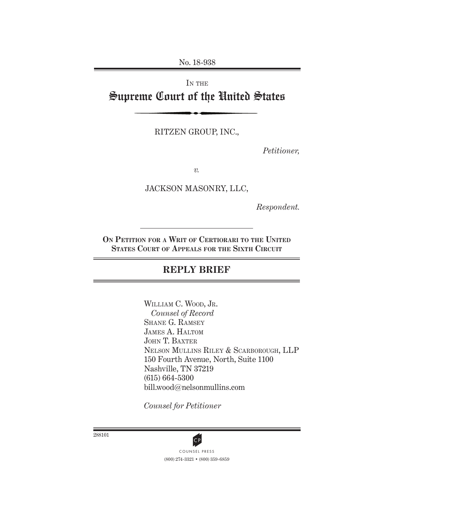No. 18-938

# IN THE Supreme Court of the United States

RITZEN GROUP, INC.,

*Petitioner,*

*v.*

JACKSON MASONRY, LLC,

*Respondent.*

**On Petition for a Writ of Certiorari to the United States Court of Appeals for the Sixth Circuit**

### **REPLY BRIEF**

WILLIAM C. WOOD, JR. *Counsel of Record* Shane G. Ramsey James A. Haltom John T. Baxter Nelson Mullins Riley & Scarborough, LLP 150 Fourth Avenue, North, Suite 1100 Nashville, TN 37219 (615) 664-5300 bill.wood@nelsonmullins.com

*Counsel for Petitioner*



(800) 274-3321 • (800) 359-6859 CP<br>COUNSEL PRESS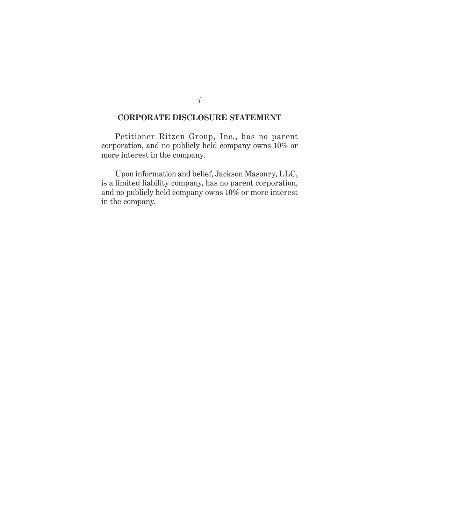#### **CORPORATE DISCLOSURE STATEMENT**

Petitioner Ritzen Group, Inc., has no parent corporation, and no publicly held company owns 10% or more interest in the company.

Upon information and belief, Jackson Masonry, LLC, is a limited liability company, has no parent corporation, and no publicly held company owns 10% or more interest in the company.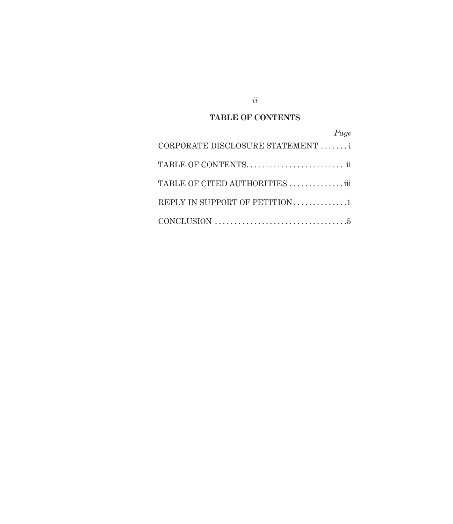### **TABLE OF CONTENTS**

| Page                            |
|---------------------------------|
| CORPORATE DISCLOSURE STATEMENT  |
|                                 |
| TABLE OF CITED AUTHORITIES  iii |
| REPLY IN SUPPORT OF PETITION1   |
|                                 |

*ii*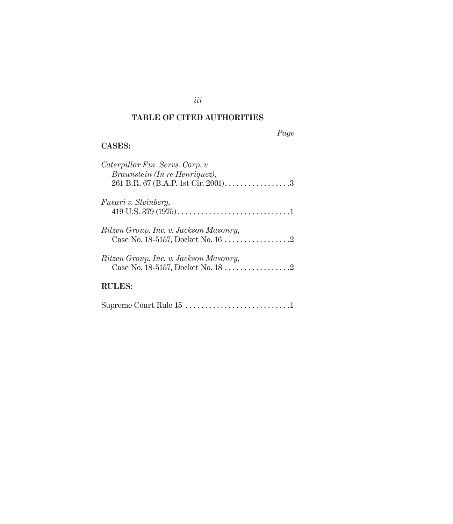### **TABLE OF CITED AUTHORITIES**

*iii*

## *Page*

#### **Cases:**

| Caterpillar Fin. Servs. Corp. v.<br>Braunstein (In re Henriquez), |
|-------------------------------------------------------------------|
|                                                                   |
| <i>Fusari v. Steinberg,</i>                                       |
| Ritzen Group, Inc. v. Jackson Masonry,                            |
| Ritzen Group, Inc. v. Jackson Masonry,                            |
| <b>RULES:</b>                                                     |
| Supreme Court Rule 15 1                                           |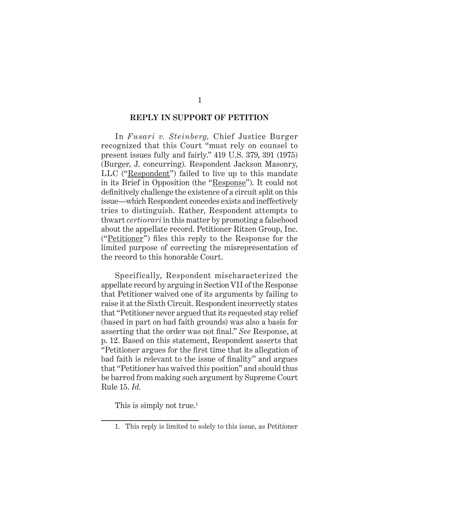#### **REPLY IN SUPPORT OF PETITION**

In *Fusari v. Steinberg,* Chief Justice Burger recognized that this Court "must rely on counsel to present issues fully and fairly." 419 U.S. 379, 391 (1975) (Burger, J. concurring). Respondent Jackson Masonry, LLC ("Respondent") failed to live up to this mandate in its Brief in Opposition (the "Response"). It could not definitively challenge the existence of a circuit split on this issue—which Respondent concedes exists and ineffectively tries to distinguish. Rather, Respondent attempts to thwart *certiorari* in this matter by promoting a falsehood about the appellate record. Petitioner Ritzen Group, Inc. ("Petitioner") files this reply to the Response for the limited purpose of correcting the misrepresentation of the record to this honorable Court.

Specifically, Respondent mischaracterized the appellate record by arguing in Section VII of the Response that Petitioner waived one of its arguments by failing to raise it at the Sixth Circuit. Respondent incorrectly states that "Petitioner never argued that its requested stay relief (based in part on bad faith grounds) was also a basis for asserting that the order was not final." *See* Response, at p. 12. Based on this statement, Respondent asserts that "Petitioner argues for the first time that its allegation of bad faith is relevant to the issue of finality" and argues that "Petitioner has waived this position" and should thus be barred from making such argument by Supreme Court Rule 15. *Id.*

This is simply not true.<sup>1</sup>

<sup>1.</sup> This reply is limited to solely to this issue, as Petitioner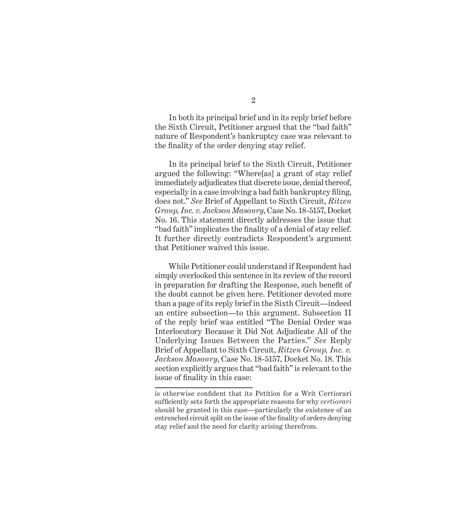In both its principal brief and in its reply brief before the Sixth Circuit, Petitioner argued that the "bad faith" nature of Respondent's bankruptcy case was relevant to the finality of the order denying stay relief.

In its principal brief to the Sixth Circuit, Petitioner argued the following: "Where[as] a grant of stay relief immediately adjudicates that discrete issue, denial thereof, especially in a case involving a bad faith bankruptcy filing, does not." *See* Brief of Appellant to Sixth Circuit, *Ritzen Group, Inc. v. Jackson Masonry*, Case No. 18-5157, Docket No. 16. This statement directly addresses the issue that "bad faith" implicates the finality of a denial of stay relief. It further directly contradicts Respondent's argument that Petitioner waived this issue.

While Petitioner could understand if Respondent had simply overlooked this sentence in its review of the record in preparation for drafting the Response, such benefit of the doubt cannot be given here. Petitioner devoted more than a page of its reply brief in the Sixth Circuit—indeed an entire subsection—to this argument. Subsection II of the reply brief was entitled "The Denial Order was Interlocutory Because it Did Not Adjudicate All of the Underlying Issues Between the Parties." *See* Reply Brief of Appellant to Sixth Circuit, *Ritzen Group, Inc. v. Jackson Masonry*, Case No. 18-5157, Docket No. 18. This section explicitly argues that "bad faith" is relevant to the issue of finality in this case:

is otherwise confident that its Petition for a Writ Certiorari sufficiently sets forth the appropriate reasons for why *certiorari* should be granted in this case—particularly the existence of an entrenched circuit split on the issue of the finality of orders denying stay relief and the need for clarity arising therefrom.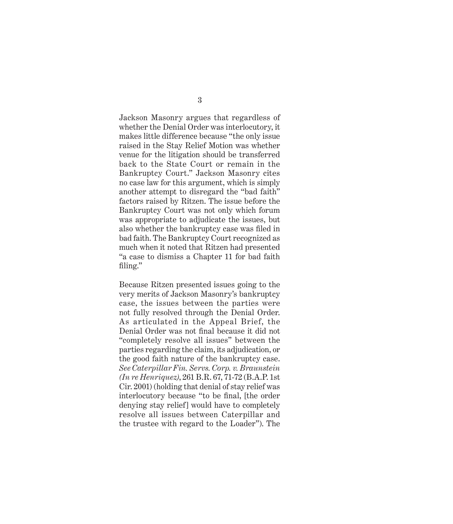Jackson Masonry argues that regardless of whether the Denial Order was interlocutory, it makes little difference because "the only issue raised in the Stay Relief Motion was whether venue for the litigation should be transferred back to the State Court or remain in the Bankruptcy Court." Jackson Masonry cites no case law for this argument, which is simply another attempt to disregard the "bad faith" factors raised by Ritzen. The issue before the Bankruptcy Court was not only which forum was appropriate to adjudicate the issues, but also whether the bankruptcy case was filed in bad faith. The Bankruptcy Court recognized as much when it noted that Ritzen had presented "a case to dismiss a Chapter 11 for bad faith filing."

Because Ritzen presented issues going to the very merits of Jackson Masonry's bankruptcy case, the issues between the parties were not fully resolved through the Denial Order. As articulated in the Appeal Brief, the Denial Order was not final because it did not "completely resolve all issues" between the parties regarding the claim, its adjudication, or the good faith nature of the bankruptcy case. *See Caterpillar Fin. Servs. Corp. v. Braunstein (In re Henriquez)*, 261 B.R. 67, 71-72 (B.A.P. 1st Cir. 2001) (holding that denial of stay relief was interlocutory because "to be final, [the order denying stay relief] would have to completely resolve all issues between Caterpillar and the trustee with regard to the Loader"). The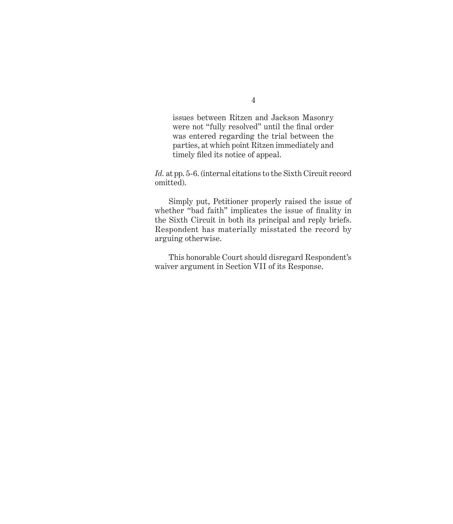issues between Ritzen and Jackson Masonry were not "fully resolved" until the final order was entered regarding the trial between the parties, at which point Ritzen immediately and timely filed its notice of appeal.

*Id.* at pp. 5-6. (internal citations to the Sixth Circuit record omitted).

Simply put, Petitioner properly raised the issue of whether "bad faith" implicates the issue of finality in the Sixth Circuit in both its principal and reply briefs. Respondent has materially misstated the record by arguing otherwise.

This honorable Court should disregard Respondent's waiver argument in Section VII of its Response.